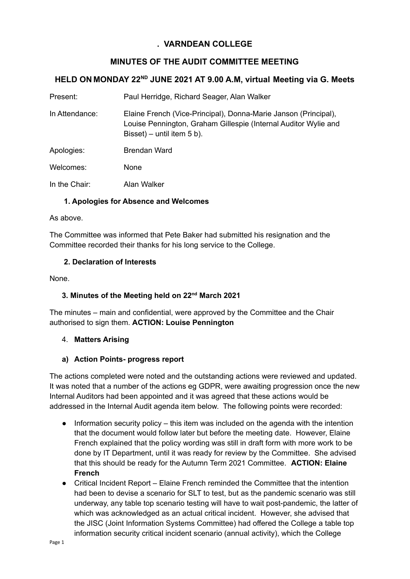# **. VARNDEAN COLLEGE**

# **MINUTES OF THE AUDIT COMMITTEE MEETING**

## **HELD ON MONDAY 22ND JUNE 2021 AT 9.00 A.M, virtual Meeting via G. Meets**

| Present: | Paul Herridge, Richard Seager, Alan Walker |  |  |
|----------|--------------------------------------------|--|--|
|          |                                            |  |  |

- In Attendance: Elaine French (Vice-Principal), Donna-Marie Janson (Principal), Louise Pennington, Graham Gillespie (Internal Auditor Wylie and Bisset) – until item 5 b).
- Apologies: Brendan Ward

Welcomes: None

In the Chair: Alan Walker

#### **1. Apologies for Absence and Welcomes**

#### As above.

The Committee was informed that Pete Baker had submitted his resignation and the Committee recorded their thanks for his long service to the College.

#### **2. Declaration of Interests**

None.

## **3. Minutes of the Meeting held on 22 nd March 2021**

The minutes – main and confidential, were approved by the Committee and the Chair authorised to sign them. **ACTION: Louise Pennington**

#### 4. **Matters Arising**

#### **a) Action Points- progress report**

The actions completed were noted and the outstanding actions were reviewed and updated. It was noted that a number of the actions eg GDPR, were awaiting progression once the new Internal Auditors had been appointed and it was agreed that these actions would be addressed in the Internal Audit agenda item below. The following points were recorded:

- $\bullet$  Information security policy this item was included on the agenda with the intention that the document would follow later but before the meeting date. However, Elaine French explained that the policy wording was still in draft form with more work to be done by IT Department, until it was ready for review by the Committee. She advised that this should be ready for the Autumn Term 2021 Committee. **ACTION: Elaine French**
- Critical Incident Report Elaine French reminded the Committee that the intention had been to devise a scenario for SLT to test, but as the pandemic scenario was still underway, any table top scenario testing will have to wait post-pandemic, the latter of which was acknowledged as an actual critical incident. However, she advised that the JISC (Joint Information Systems Committee) had offered the College a table top information security critical incident scenario (annual activity), which the College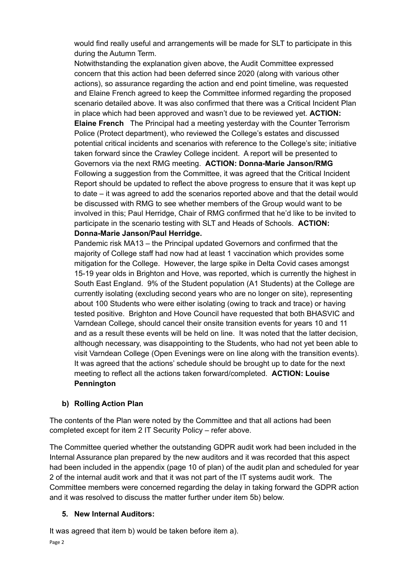would find really useful and arrangements will be made for SLT to participate in this during the Autumn Term.

Notwithstanding the explanation given above, the Audit Committee expressed concern that this action had been deferred since 2020 (along with various other actions), so assurance regarding the action and end point timeline, was requested and Elaine French agreed to keep the Committee informed regarding the proposed scenario detailed above. It was also confirmed that there was a Critical Incident Plan in place which had been approved and wasn't due to be reviewed yet. **ACTION: Elaine French** The Principal had a meeting yesterday with the Counter Terrorism Police (Protect department), who reviewed the College's estates and discussed potential critical incidents and scenarios with reference to the College's site; initiative taken forward since the Crawley College incident. A report will be presented to Governors via the next RMG meeting. **ACTION: Donna-Marie Janson/RMG** Following a suggestion from the Committee, it was agreed that the Critical Incident Report should be updated to reflect the above progress to ensure that it was kept up to date – it was agreed to add the scenarios reported above and that the detail would be discussed with RMG to see whether members of the Group would want to be involved in this; Paul Herridge, Chair of RMG confirmed that he'd like to be invited to participate in the scenario testing with SLT and Heads of Schools. **ACTION: Donna-Marie Janson/Paul Herridge.**

Pandemic risk MA13 – the Principal updated Governors and confirmed that the majority of College staff had now had at least 1 vaccination which provides some mitigation for the College. However, the large spike in Delta Covid cases amongst 15-19 year olds in Brighton and Hove, was reported, which is currently the highest in South East England. 9% of the Student population (A1 Students) at the College are currently isolating (excluding second years who are no longer on site), representing about 100 Students who were either isolating (owing to track and trace) or having tested positive. Brighton and Hove Council have requested that both BHASVIC and Varndean College, should cancel their onsite transition events for years 10 and 11 and as a result these events will be held on line. It was noted that the latter decision, although necessary, was disappointing to the Students, who had not yet been able to visit Varndean College (Open Evenings were on line along with the transition events). It was agreed that the actions' schedule should be brought up to date for the next meeting to reflect all the actions taken forward/completed. **ACTION: Louise Pennington**

# **b) Rolling Action Plan**

The contents of the Plan were noted by the Committee and that all actions had been completed except for item 2 IT Security Policy – refer above.

The Committee queried whether the outstanding GDPR audit work had been included in the Internal Assurance plan prepared by the new auditors and it was recorded that this aspect had been included in the appendix (page 10 of plan) of the audit plan and scheduled for year 2 of the internal audit work and that it was not part of the IT systems audit work. The Committee members were concerned regarding the delay in taking forward the GDPR action and it was resolved to discuss the matter further under item 5b) below.

## **5. New Internal Auditors:**

It was agreed that item b) would be taken before item a).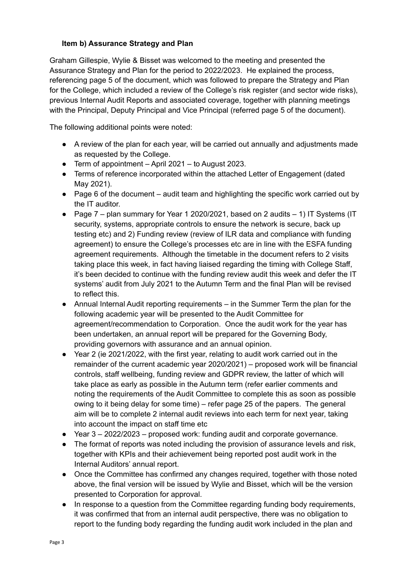#### **Item b) Assurance Strategy and Plan**

Graham Gillespie, Wylie & Bisset was welcomed to the meeting and presented the Assurance Strategy and Plan for the period to 2022/2023. He explained the process, referencing page 5 of the document, which was followed to prepare the Strategy and Plan for the College, which included a review of the College's risk register (and sector wide risks), previous Internal Audit Reports and associated coverage, together with planning meetings with the Principal, Deputy Principal and Vice Principal (referred page 5 of the document).

The following additional points were noted:

- A review of the plan for each year, will be carried out annually and adjustments made as requested by the College.
- Term of appointment April 2021 to August 2023.
- Terms of reference incorporated within the attached Letter of Engagement (dated May 2021).
- Page 6 of the document audit team and highlighting the specific work carried out by the IT auditor.
- Page 7 plan summary for Year 1 2020/2021, based on 2 audits 1) IT Systems (IT security, systems, appropriate controls to ensure the network is secure, back up testing etc) and 2) Funding review (review of ILR data and compliance with funding agreement) to ensure the College's processes etc are in line with the ESFA funding agreement requirements. Although the timetable in the document refers to 2 visits taking place this week, in fact having liaised regarding the timing with College Staff, it's been decided to continue with the funding review audit this week and defer the IT systems' audit from July 2021 to the Autumn Term and the final Plan will be revised to reflect this.
- Annual Internal Audit reporting requirements in the Summer Term the plan for the following academic year will be presented to the Audit Committee for agreement/recommendation to Corporation. Once the audit work for the year has been undertaken, an annual report will be prepared for the Governing Body, providing governors with assurance and an annual opinion.
- Year 2 (ie 2021/2022, with the first year, relating to audit work carried out in the remainder of the current academic year 2020/2021) – proposed work will be financial controls, staff wellbeing, funding review and GDPR review, the latter of which will take place as early as possible in the Autumn term (refer earlier comments and noting the requirements of the Audit Committee to complete this as soon as possible owing to it being delay for some time) – refer page 25 of the papers. The general aim will be to complete 2 internal audit reviews into each term for next year, taking into account the impact on staff time etc
- Year 3 2022/2023 proposed work: funding audit and corporate governance.
- The format of reports was noted including the provision of assurance levels and risk, together with KPIs and their achievement being reported post audit work in the Internal Auditors' annual report.
- Once the Committee has confirmed any changes required, together with those noted above, the final version will be issued by Wylie and Bisset, which will be the version presented to Corporation for approval.
- In response to a question from the Committee regarding funding body requirements, it was confirmed that from an internal audit perspective, there was no obligation to report to the funding body regarding the funding audit work included in the plan and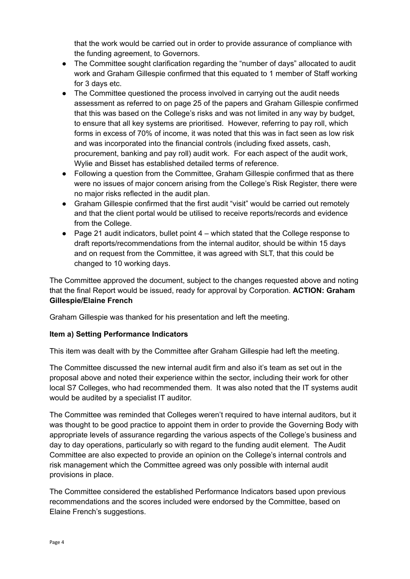that the work would be carried out in order to provide assurance of compliance with the funding agreement, to Governors.

- The Committee sought clarification regarding the "number of days" allocated to audit work and Graham Gillespie confirmed that this equated to 1 member of Staff working for 3 days etc.
- The Committee questioned the process involved in carrying out the audit needs assessment as referred to on page 25 of the papers and Graham Gillespie confirmed that this was based on the College's risks and was not limited in any way by budget, to ensure that all key systems are prioritised. However, referring to pay roll, which forms in excess of 70% of income, it was noted that this was in fact seen as low risk and was incorporated into the financial controls (including fixed assets, cash, procurement, banking and pay roll) audit work. For each aspect of the audit work, Wylie and Bisset has established detailed terms of reference.
- Following a question from the Committee, Graham Gillespie confirmed that as there were no issues of major concern arising from the College's Risk Register, there were no major risks reflected in the audit plan.
- Graham Gillespie confirmed that the first audit "visit" would be carried out remotely and that the client portal would be utilised to receive reports/records and evidence from the College.
- $\bullet$  Page 21 audit indicators, bullet point  $4$  which stated that the College response to draft reports/recommendations from the internal auditor, should be within 15 days and on request from the Committee, it was agreed with SLT, that this could be changed to 10 working days.

The Committee approved the document, subject to the changes requested above and noting that the final Report would be issued, ready for approval by Corporation. **ACTION: Graham Gillespie/Elaine French**

Graham Gillespie was thanked for his presentation and left the meeting.

## **Item a) Setting Performance Indicators**

This item was dealt with by the Committee after Graham Gillespie had left the meeting.

The Committee discussed the new internal audit firm and also it's team as set out in the proposal above and noted their experience within the sector, including their work for other local S7 Colleges, who had recommended them. It was also noted that the IT systems audit would be audited by a specialist IT auditor.

The Committee was reminded that Colleges weren't required to have internal auditors, but it was thought to be good practice to appoint them in order to provide the Governing Body with appropriate levels of assurance regarding the various aspects of the College's business and day to day operations, particularly so with regard to the funding audit element. The Audit Committee are also expected to provide an opinion on the College's internal controls and risk management which the Committee agreed was only possible with internal audit provisions in place.

The Committee considered the established Performance Indicators based upon previous recommendations and the scores included were endorsed by the Committee, based on Elaine French's suggestions.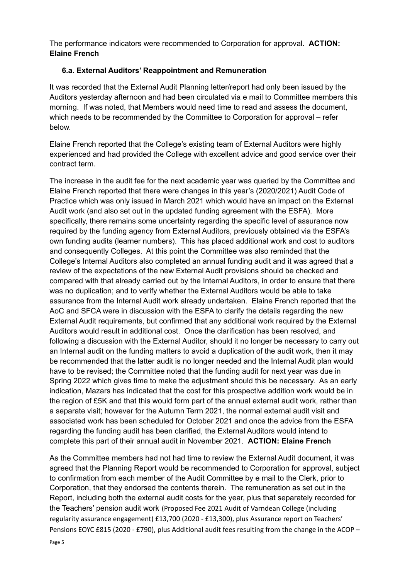The performance indicators were recommended to Corporation for approval. **ACTION: Elaine French**

## **6.a. External Auditors' Reappointment and Remuneration**

It was recorded that the External Audit Planning letter/report had only been issued by the Auditors yesterday afternoon and had been circulated via e mail to Committee members this morning. If was noted, that Members would need time to read and assess the document, which needs to be recommended by the Committee to Corporation for approval – refer below.

Elaine French reported that the College's existing team of External Auditors were highly experienced and had provided the College with excellent advice and good service over their contract term.

The increase in the audit fee for the next academic year was queried by the Committee and Elaine French reported that there were changes in this year's (2020/2021) Audit Code of Practice which was only issued in March 2021 which would have an impact on the External Audit work (and also set out in the updated funding agreement with the ESFA). More specifically, there remains some uncertainty regarding the specific level of assurance now required by the funding agency from External Auditors, previously obtained via the ESFA's own funding audits (learner numbers). This has placed additional work and cost to auditors and consequently Colleges. At this point the Committee was also reminded that the College's Internal Auditors also completed an annual funding audit and it was agreed that a review of the expectations of the new External Audit provisions should be checked and compared with that already carried out by the Internal Auditors, in order to ensure that there was no duplication; and to verify whether the External Auditors would be able to take assurance from the Internal Audit work already undertaken. Elaine French reported that the AoC and SFCA were in discussion with the ESFA to clarify the details regarding the new External Audit requirements, but confirmed that any additional work required by the External Auditors would result in additional cost. Once the clarification has been resolved, and following a discussion with the External Auditor, should it no longer be necessary to carry out an Internal audit on the funding matters to avoid a duplication of the audit work, then it may be recommended that the latter audit is no longer needed and the Internal Audit plan would have to be revised; the Committee noted that the funding audit for next year was due in Spring 2022 which gives time to make the adjustment should this be necessary. As an early indication, Mazars has indicated that the cost for this prospective addition work would be in the region of £5K and that this would form part of the annual external audit work, rather than a separate visit; however for the Autumn Term 2021, the normal external audit visit and associated work has been scheduled for October 2021 and once the advice from the ESFA regarding the funding audit has been clarified, the External Auditors would intend to complete this part of their annual audit in November 2021. **ACTION: Elaine French**

As the Committee members had not had time to review the External Audit document, it was agreed that the Planning Report would be recommended to Corporation for approval, subject to confirmation from each member of the Audit Committee by e mail to the Clerk, prior to Corporation, that they endorsed the contents therein. The remuneration as set out in the Report, including both the external audit costs for the year, plus that separately recorded for the Teachers' pension audit work (Proposed Fee 2021 Audit of Varndean College (including regularity assurance engagement) £13,700 (2020 - £13,300), plus Assurance report on Teachers' Pensions EOYC £815 (2020 - £790), plus Additional audit fees resulting from the change in the ACOP –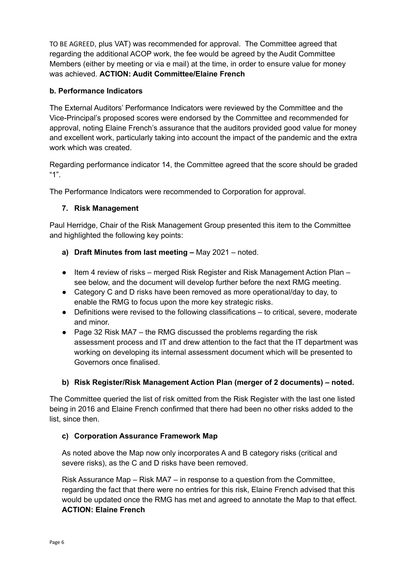TO BE AGREED, plus VAT) was recommended for approval. The Committee agreed that regarding the additional ACOP work, the fee would be agreed by the Audit Committee Members (either by meeting or via e mail) at the time, in order to ensure value for money was achieved. **ACTION: Audit Committee/Elaine French**

## **b. Performance Indicators**

The External Auditors' Performance Indicators were reviewed by the Committee and the Vice-Principal's proposed scores were endorsed by the Committee and recommended for approval, noting Elaine French's assurance that the auditors provided good value for money and excellent work, particularly taking into account the impact of the pandemic and the extra work which was created.

Regarding performance indicator 14, the Committee agreed that the score should be graded "1".

The Performance Indicators were recommended to Corporation for approval.

# **7. Risk Management**

Paul Herridge, Chair of the Risk Management Group presented this item to the Committee and highlighted the following key points:

# **a) Draft Minutes from last meeting –** May 2021 – noted.

- Item 4 review of risks merged Risk Register and Risk Management Action Plan see below, and the document will develop further before the next RMG meeting.
- Category C and D risks have been removed as more operational/day to day, to enable the RMG to focus upon the more key strategic risks.
- $\bullet$  Definitions were revised to the following classifications  $-$  to critical, severe, moderate and minor.
- Page 32 Risk MA7 the RMG discussed the problems regarding the risk assessment process and IT and drew attention to the fact that the IT department was working on developing its internal assessment document which will be presented to Governors once finalised.

## **b) Risk Register/Risk Management Action Plan (merger of 2 documents) – noted.**

The Committee queried the list of risk omitted from the Risk Register with the last one listed being in 2016 and Elaine French confirmed that there had been no other risks added to the list, since then.

## **c) Corporation Assurance Framework Map**

As noted above the Map now only incorporates A and B category risks (critical and severe risks), as the C and D risks have been removed.

Risk Assurance Map – Risk MA7 – in response to a question from the Committee, regarding the fact that there were no entries for this risk, Elaine French advised that this would be updated once the RMG has met and agreed to annotate the Map to that effect. **ACTION: Elaine French**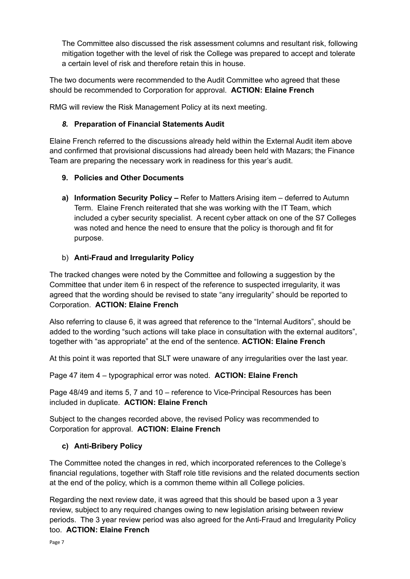The Committee also discussed the risk assessment columns and resultant risk, following mitigation together with the level of risk the College was prepared to accept and tolerate a certain level of risk and therefore retain this in house.

The two documents were recommended to the Audit Committee who agreed that these should be recommended to Corporation for approval. **ACTION: Elaine French**

RMG will review the Risk Management Policy at its next meeting.

#### *8.* **Preparation of Financial Statements Audit**

Elaine French referred to the discussions already held within the External Audit item above and confirmed that provisional discussions had already been held with Mazars; the Finance Team are preparing the necessary work in readiness for this year's audit.

## **9. Policies and Other Documents**

**a) Information Security Policy –** Refer to Matters Arising item – deferred to Autumn Term. Elaine French reiterated that she was working with the IT Team, which included a cyber security specialist. A recent cyber attack on one of the S7 Colleges was noted and hence the need to ensure that the policy is thorough and fit for purpose.

#### b) **Anti-Fraud and Irregularity Policy**

The tracked changes were noted by the Committee and following a suggestion by the Committee that under item 6 in respect of the reference to suspected irregularity, it was agreed that the wording should be revised to state "any irregularity" should be reported to Corporation. **ACTION: Elaine French**

Also referring to clause 6, it was agreed that reference to the "Internal Auditors", should be added to the wording "such actions will take place in consultation with the external auditors", together with "as appropriate" at the end of the sentence. **ACTION: Elaine French**

At this point it was reported that SLT were unaware of any irregularities over the last year.

Page 47 item 4 – typographical error was noted. **ACTION: Elaine French**

Page 48/49 and items 5, 7 and 10 – reference to Vice-Principal Resources has been included in duplicate. **ACTION: Elaine French**

Subject to the changes recorded above, the revised Policy was recommended to Corporation for approval. **ACTION: Elaine French**

## **c) Anti-Bribery Policy**

The Committee noted the changes in red, which incorporated references to the College's financial regulations, together with Staff role title revisions and the related documents section at the end of the policy, which is a common theme within all College policies.

Regarding the next review date, it was agreed that this should be based upon a 3 year review, subject to any required changes owing to new legislation arising between review periods. The 3 year review period was also agreed for the Anti-Fraud and Irregularity Policy too. **ACTION: Elaine French**